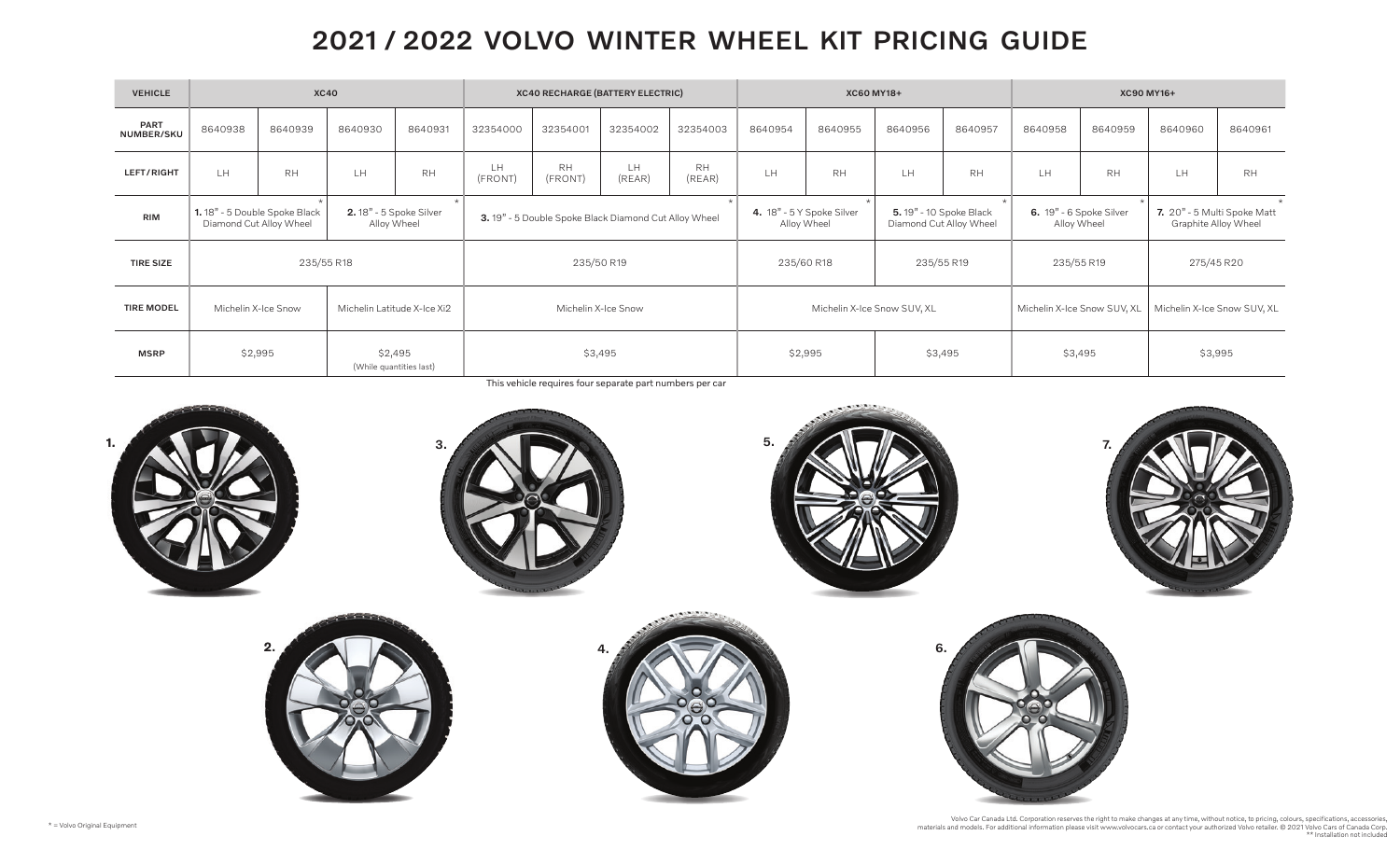## 2021 / 2022 VOLVO WINTER WHEEL KIT PRICING GUIDE

| <b>VEHICLE</b>     | <b>XC40</b>                                                                                              |           |         |                     | <b>XC40 RECHARGE (BATTERY ELECTRIC)</b>              |                      |                    |                             | XC60 MY18+                               |           |                                                    |                             | <b>XC90 MY16+</b>                      |                             |                                                     |           |
|--------------------|----------------------------------------------------------------------------------------------------------|-----------|---------|---------------------|------------------------------------------------------|----------------------|--------------------|-----------------------------|------------------------------------------|-----------|----------------------------------------------------|-----------------------------|----------------------------------------|-----------------------------|-----------------------------------------------------|-----------|
| PART<br>NUMBER/SKU | 8640938                                                                                                  | 8640939   | 8640930 | 8640931             | 32354000                                             | 32354001             | 32354002           | 32354003                    | 8640954                                  | 8640955   | 8640956                                            | 8640957                     | 8640958                                | 8640959                     | 8640960                                             | 8640961   |
| LEFT/RIGHT         | LH.                                                                                                      | <b>RH</b> | LH.     | <b>RH</b>           | LH<br>(FRONT)                                        | <b>RH</b><br>(FRONT) | LH.<br>(REAR)      | <b>RH</b><br>(REAR)         | LH                                       | <b>RH</b> | LH.                                                | <b>RH</b>                   | LH.                                    | <b>RH</b>                   | LH.                                                 | <b>RH</b> |
| <b>RIM</b>         | <b>2.</b> 18" - 5 Spoke Silver<br>1.18" - 5 Double Spoke Black<br>Diamond Cut Alloy Wheel<br>Alloy Wheel |           |         |                     | 3.19" - 5 Double Spoke Black Diamond Cut Alloy Wheel |                      |                    |                             | 4. 18" - 5 Y Spoke Silver<br>Alloy Wheel |           | 5. 19" - 10 Spoke Black<br>Diamond Cut Alloy Wheel |                             | 6. 19" - 6 Spoke Silver<br>Alloy Wheel |                             | 7. 20" - 5 Multi Spoke Matt<br>Graphite Alloy Wheel |           |
| <b>TIRE SIZE</b>   | 235/55 R18                                                                                               |           |         |                     | 235/50 R19                                           |                      |                    |                             | 235/60 R18<br>235/55 R19                 |           | 235/55 R19                                         |                             | 275/45 R20                             |                             |                                                     |           |
| <b>TIRE MODEL</b>  | Michelin X-Ice Snow<br>Michelin Latitude X-Ice Xi2                                                       |           |         | Michelin X-Ice Snow |                                                      |                      |                    | Michelin X-Ice Snow SUV, XL |                                          |           |                                                    | Michelin X-Ice Snow SUV, XL |                                        | Michelin X-Ice Snow SUV, XL |                                                     |           |
| <b>MSRP</b>        | \$2,495<br>\$2,995<br>(While quantities last)                                                            |           | \$3,495 |                     |                                                      |                      | \$2,995<br>\$3,495 |                             |                                          | \$3,495   |                                                    | \$3,995                     |                                        |                             |                                                     |           |

This vehicle requires four separate part numbers per car



 $\mathbf{c}$